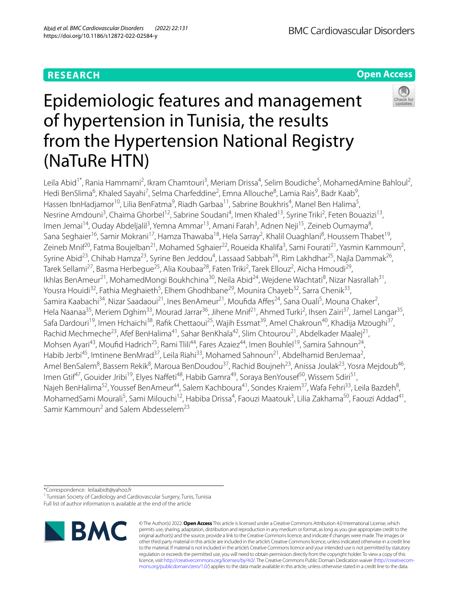## **RESEARCH**

**Open Access**

# Epidemiologic features and management of hypertension in Tunisia, the results from the Hypertension National Registry (NaTuRe HTN)



Leila Abid<sup>1\*</sup>, Rania Hammami<sup>2</sup>, Ikram Chamtouri<sup>3</sup>, Meriam Drissa<sup>4</sup>, Selim Boudiche<sup>5</sup>, MohamedAmine Bahloul<sup>2</sup>, Hedi BenSlima<sup>6</sup>, Khaled Sayahi<sup>7</sup>, Selma Charfeddine<sup>2</sup>, Emna Allouche<sup>8</sup>, Lamia Rais<sup>9</sup>, Badr Kaab<sup>9</sup>, Hassen IbnHadjamor<sup>10</sup>, Lilia BenFatma<sup>9</sup>, Riadh Garbaa<sup>11</sup>, Sabrine Boukhris<sup>4</sup>, Manel Ben Halima<sup>5</sup>, Nesrine Amdouni<sup>3</sup>, Chaima Ghorbel<sup>12</sup>, Sabrine Soudani<sup>4</sup>, Imen Khaled<sup>13</sup>, Syrine Triki<sup>2</sup>, Feten Bouazizi<sup>13</sup>, lmen Jemai<sup>14</sup>, Ouday Abdeljalil<sup>3</sup>, Yemna Ammar<sup>13</sup>, Amani Farah<sup>3</sup>, Adnen Neji<sup>15</sup>, Zeineb Oumayma<sup>8</sup>, Sana Seghaier<sup>16</sup>, Samir Mokrani<sup>17</sup>, Hamza Thawaba<sup>18</sup>, Hela Sarray<sup>2</sup>, Khalil Ouaghlani<sup>8</sup>, Houssem Thabet<sup>19</sup>, Zeineb Mnif<sup>20</sup>, Fatma Boujelban<sup>21</sup>, Mohamed Sghaier<sup>22</sup>, Roueida Khalifa<sup>3</sup>, Sami Fourati<sup>21</sup>, Yasmin Kammoun<sup>2</sup>, Syrine Abid<sup>23</sup>, Chihab Hamza<sup>23</sup>, Syrine Ben Jeddou<sup>4</sup>, Lassaad Sabbah<sup>24</sup>, Rim Lakhdhar<sup>25</sup>, Najla Dammak<sup>26</sup>, Tarek Sellami<sup>27</sup>, Basma Herbegue<sup>25</sup>, Alia Koubaa<sup>28</sup>, Faten Triki<sup>2</sup>, Tarek Ellouz<sup>2</sup>, Aicha Hmoudi<sup>29</sup>, Ikhlas BenAmeur<sup>21</sup>, MohamedMongi Boukhchina<sup>30</sup>, Neila Abid<sup>24</sup>, Wejdene Wachtati<sup>8</sup>, Nizar Nasrallah<sup>31</sup>, Yousra Houidi<sup>32</sup>, Fathia Meghaieth<sup>5</sup>, Elhem Ghodhbane<sup>29</sup>, Mounira Chayeb<sup>32</sup>, Sarra Chenik<sup>33</sup>, Samira Kaabachi<sup>34</sup>, Nizar Saadaoui<sup>21</sup>, Ines BenAmeur<sup>21</sup>, Moufida Affes<sup>24</sup>, Sana Ouali<sup>5</sup>, Mouna Chaker<sup>2</sup>, Hela Naanaa<sup>35</sup>, Meriem Dghim<sup>33</sup>, Mourad Jarrar<sup>36</sup>, Jihene Mnif<sup>21</sup>, Ahmed Turki<sup>2</sup>, Ihsen Zairi<sup>37</sup>, Jamel Langar<sup>35</sup>, Safa Dardouri<sup>19</sup>, Imen Hchaichi<sup>38</sup>, Rafik Chettaoui<sup>25</sup>, Wajih Essmat<sup>39</sup>, Amel Chakroun<sup>40</sup>, Khadija Mzoughi<sup>37</sup>, Rachid Mechmeche<sup>23</sup>, Afef BenHalima<sup>41</sup>, Sahar BenKhala<sup>42</sup>, Slim Chtourou<sup>21</sup>, Abdelkader Maalej<sup>21</sup>, Mohsen Ayari<sup>43</sup>, Moufid Hadrich<sup>25</sup>, Rami Tlili<sup>44</sup>, Fares Azaiez<sup>44</sup>, Imen Bouhlel<sup>19</sup>, Samira Sahnoun<sup>24</sup>, Habib Jerbi<sup>45</sup>, Imtinene BenMrad<sup>37</sup>, Leila Riahi<sup>33</sup>, Mohamed Sahnoun<sup>21</sup>, Abdelhamid BenJemaa<sup>2</sup>, Amel BenSalem<sup>8</sup>, Bassem Rekik<sup>8</sup>, Maroua BenDoudou<sup>37</sup>, Rachid Boujneh<sup>23</sup>, Anissa Joulak<sup>23</sup>, Yosra Mejdoub<sup>46</sup>, Imen Gtif<sup>47</sup>, Gouider Jribi<sup>19</sup>, Elyes Naffeti<sup>48</sup>, Habib Gamra<sup>49</sup>, Soraya BenYousef<sup>50</sup>, Wissem Sdiri<sup>51</sup>, Najeh BenHalima<sup>52</sup>, Youssef BenAmeur<sup>44</sup>, Salem Kachboura<sup>41</sup>, Sondes Kraiem<sup>37</sup>, Wafa Fehri<sup>33</sup>, Leila Bazdeh<sup>8</sup>, MohamedSami Mourali<sup>5</sup>, Sami Milouchi<sup>12</sup>, Habiba Drissa<sup>4</sup>, Faouzi Maatouk<sup>3</sup>, Lilia Zakhama<sup>50</sup>, Faouzi Addad<sup>41</sup>, Samir Kammoun<sup>2</sup> and Salem Abdesselem<sup>23</sup>

\*Correspondence: leilaabidt@yahoo.fr

<sup>1</sup> Tunisian Society of Cardiology and Cardiovascular Surgery, Tunis, Tunisia

Full list of author information is available at the end of the article



© The Author(s) 2022. **Open Access** This article is licensed under a Creative Commons Attribution 4.0 International License, which permits use, sharing, adaptation, distribution and reproduction in any medium or format, as long as you give appropriate credit to the original author(s) and the source, provide a link to the Creative Commons licence, and indicate if changes were made. The images or other third party material in this article are included in the article's Creative Commons licence, unless indicated otherwise in a credit line to the material. If material is not included in the article's Creative Commons licence and your intended use is not permitted by statutory regulation or exceeds the permitted use, you will need to obtain permission directly from the copyright holder. To view a copy of this licence, visit [http://creativecommons.org/licenses/by/4.0/.](http://creativecommons.org/licenses/by/4.0/) The Creative Commons Public Domain Dedication waiver ([http://creativecom](http://creativecommons.org/publicdomain/zero/1.0/)[mons.org/publicdomain/zero/1.0/\)](http://creativecommons.org/publicdomain/zero/1.0/) applies to the data made available in this article, unless otherwise stated in a credit line to the data.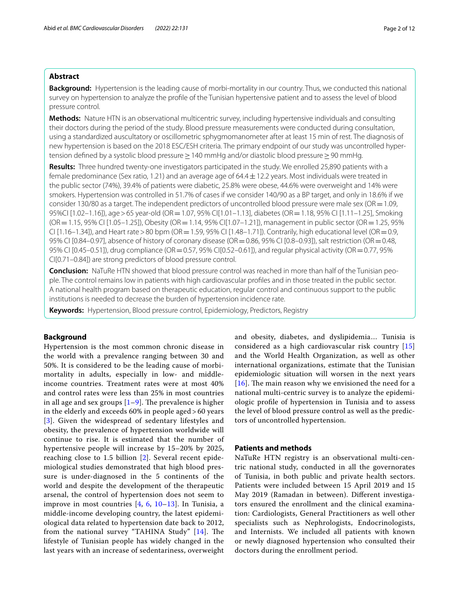## **Abstract**

**Background:** Hypertension is the leading cause of morbi-mortality in our country. Thus, we conducted this national survey on hypertension to analyze the profle of the Tunisian hypertensive patient and to assess the level of blood pressure control.

**Methods:** Nature HTN is an observational multicentric survey, including hypertensive individuals and consulting their doctors during the period of the study. Blood pressure measurements were conducted during consultation, using a standardized auscultatory or oscillometric sphygmomanometer after at least 15 min of rest. The diagnosis of new hypertension is based on the 2018 ESC/ESH criteria. The primary endpoint of our study was uncontrolled hypertension defined by a systolic blood pressure ≥ 140 mmHg and/or diastolic blood pressure ≥ 90 mmHg.

**Results:** Three hundred twenty-one investigators participated in the study. We enrolled 25,890 patients with a female predominance (Sex ratio, 1.21) and an average age of  $64.4 \pm 12.2$  years. Most individuals were treated in the public sector (74%), 39.4% of patients were diabetic, 25.8% were obese, 44.6% were overweight and 14% were smokers. Hypertension was controlled in 51.7% of cases if we consider 140/90 as a BP target, and only in 18.6% if we consider 130/80 as a target. The independent predictors of uncontrolled blood pressure were male sex ( $OR = 1.09$ , 95%CI [1.02–1.16]), age>65 year-old (OR=1.07, 95% CI[1.01–1.13], diabetes (OR=1.18, 95% CI [1.11–1.25], Smoking (OR=1.15, 95% CI [1.05–1.25]), Obesity (OR=1.14, 95% CI[1.07–1.21]), management in public sector (OR=1.25, 95% CI  $[1.16-1.34]$ ), and Heart rate > 80 bpm (OR = 1.59, 95% CI  $[1.48-1.71]$ ). Contrarily, high educational level (OR = 0.9, 95% CI [0.84–0.97], absence of history of coronary disease (OR = 0.86, 95% CI [0.8–0.93]), salt restriction (OR = 0.48, 95% CI [0.45–0.51]), drug compliance (OR=0.57, 95% CI[0.52–0.61]), and regular physical activity (OR=0.77, 95% CI[0.71–0.84]) are strong predictors of blood pressure control.

**Conclusion:** NaTuRe HTN showed that blood pressure control was reached in more than half of the Tunisian people. The control remains low in patients with high cardiovascular profles and in those treated in the public sector. A national health program based on therapeutic education, regular control and continuous support to the public institutions is needed to decrease the burden of hypertension incidence rate.

**Keywords:** Hypertension, Blood pressure control, Epidemiology, Predictors, Registry

## **Background**

Hypertension is the most common chronic disease in the world with a prevalence ranging between 30 and 50%. It is considered to be the leading cause of morbimortality in adults, especially in low- and middleincome countries. Treatment rates were at most 40% and control rates were less than 25% in most countries in all age and sex groups  $[1-9]$  $[1-9]$ . The prevalence is higher in the elderly and exceeds 60% in people aged > 60 years [[3](#page-10-1)]. Given the widespread of sedentary lifestyles and obesity, the prevalence of hypertension worldwide will continue to rise. It is estimated that the number of hypertensive people will increase by 15–20% by 2025, reaching close to 1.5 billion [[2\]](#page-10-2). Several recent epidemiological studies demonstrated that high blood pressure is under-diagnosed in the 5 continents of the world and despite the development of the therapeutic arsenal, the control of hypertension does not seem to improve in most countries [\[4](#page-10-3), [6,](#page-10-4) [10–](#page-11-1)[13\]](#page-11-2). In Tunisia, a middle-income developing country, the latest epidemiological data related to hypertension date back to 2012, from the national survey "TAHINA Study" [[14\]](#page-11-3). The lifestyle of Tunisian people has widely changed in the last years with an increase of sedentariness, overweight

and obesity, diabetes, and dyslipidemia… Tunisia is considered as a high cardiovascular risk country [\[15](#page-11-4)] and the World Health Organization, as well as other international organizations, estimate that the Tunisian epidemiologic situation will worsen in the next years [[16](#page-11-5)]. The main reason why we envisioned the need for a national multi-centric survey is to analyze the epidemiologic profle of hypertension in Tunisia and to assess the level of blood pressure control as well as the predictors of uncontrolled hypertension.

## **Patients and methods**

NaTuRe HTN registry is an observational multi-centric national study, conducted in all the governorates of Tunisia, in both public and private health sectors. Patients were included between 15 April 2019 and 15 May 2019 (Ramadan in between). Diferent investigators ensured the enrollment and the clinical examination: Cardiologists, General Practitioners as well other specialists such as Nephrologists, Endocrinologists, and Internists. We included all patients with known or newly diagnosed hypertension who consulted their doctors during the enrollment period.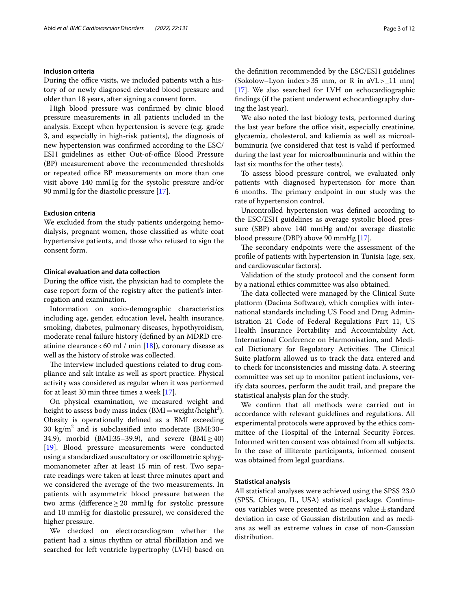## **Inclusion criteria**

During the office visits, we included patients with a history of or newly diagnosed elevated blood pressure and older than 18 years, after signing a consent form.

High blood pressure was confrmed by clinic blood pressure measurements in all patients included in the analysis. Except when hypertension is severe (e.g. grade 3, and especially in high-risk patients), the diagnosis of new hypertension was confrmed according to the ESC/ ESH guidelines as either Out-of-office Blood Pressure (BP) measurement above the recommended thresholds or repeated office BP measurements on more than one visit above 140 mmHg for the systolic pressure and/or 90 mmHg for the diastolic pressure [[17\]](#page-11-6).

## **Exclusion criteria**

We excluded from the study patients undergoing hemodialysis, pregnant women, those classifed as white coat hypertensive patients, and those who refused to sign the consent form.

## **Clinical evaluation and data collection**

During the office visit, the physician had to complete the case report form of the registry after the patient's interrogation and examination.

Information on socio-demographic characteristics including age, gender, education level, health insurance, smoking, diabetes, pulmonary diseases, hypothyroidism, moderate renal failure history (defned by an MDRD creatinine clearance < 60 ml / min  $[18]$ ), coronary disease as well as the history of stroke was collected.

The interview included questions related to drug compliance and salt intake as well as sport practice. Physical activity was considered as regular when it was performed for at least 30 min three times a week [[17\]](#page-11-6).

On physical examination, we measured weight and height to assess body mass index  $(BMI = weight/height^2)$ . Obesity is operationally defned as a BMI exceeding 30  $\text{kg/m}^2$  and is subclassified into moderate (BMI:30– 34.9), morbid (BMI:35–39.9), and severe (BMI $\geq$ 40) [[19\]](#page-11-8). Blood pressure measurements were conducted using a standardized auscultatory or oscillometric sphygmomanometer after at least 15 min of rest. Two separate readings were taken at least three minutes apart and we considered the average of the two measurements. In patients with asymmetric blood pressure between the two arms (diference≥20 mmHg for systolic pressure and 10 mmHg for diastolic pressure), we considered the higher pressure.

We checked on electrocardiogram whether the patient had a sinus rhythm or atrial fbrillation and we searched for left ventricle hypertrophy (LVH) based on the defnition recommended by the ESC/ESH guidelines (Sokolow–Lyon index>35 mm, or R in  $aVL>11$  mm) [[17\]](#page-11-6). We also searched for LVH on echocardiographic fndings (if the patient underwent echocardiography during the last year).

We also noted the last biology tests, performed during the last year before the office visit, especially creatinine, glycaemia, cholesterol, and kaliemia as well as microalbuminuria (we considered that test is valid if performed during the last year for microalbuminuria and within the last six months for the other tests).

To assess blood pressure control, we evaluated only patients with diagnosed hypertension for more than 6 months. The primary endpoint in our study was the rate of hypertension control.

Uncontrolled hypertension was defned according to the ESC/ESH guidelines as average systolic blood pressure (SBP) above 140 mmHg and/or average diastolic blood pressure (DBP) above 90 mmHg [\[17](#page-11-6)].

The secondary endpoints were the assessment of the profle of patients with hypertension in Tunisia (age, sex, and cardiovascular factors).

Validation of the study protocol and the consent form by a national ethics committee was also obtained.

The data collected were managed by the Clinical Suite platform (Dacima Software), which complies with international standards including US Food and Drug Administration 21 Code of Federal Regulations Part 11, US Health Insurance Portability and Accountability Act, International Conference on Harmonisation, and Medical Dictionary for Regulatory Activities. The Clinical Suite platform allowed us to track the data entered and to check for inconsistencies and missing data. A steering committee was set up to monitor patient inclusions, verify data sources, perform the audit trail, and prepare the statistical analysis plan for the study.

We confrm that all methods were carried out in accordance with relevant guidelines and regulations. All experimental protocols were approved by the ethics committee of the Hospital of the Internal Security Forces. Informed written consent was obtained from all subjects. In the case of illiterate participants, informed consent was obtained from legal guardians.

## **Statistical analysis**

All statistical analyses were achieved using the SPSS 23.0 (SPSS, Chicago, IL, USA) statistical package. Continuous variables were presented as means value $\pm$ standard deviation in case of Gaussian distribution and as medians as well as extreme values in case of non-Gaussian distribution.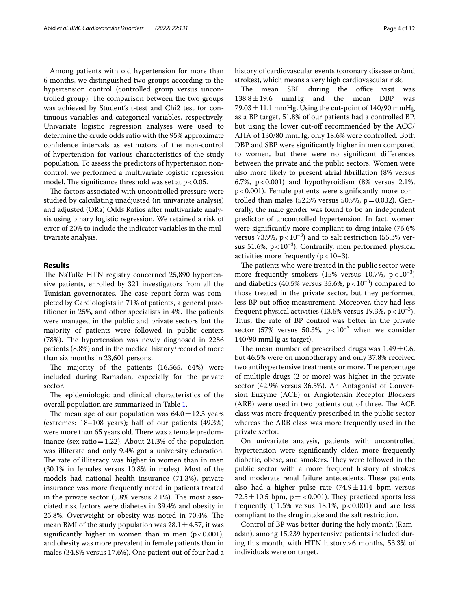Among patients with old hypertension for more than 6 months, we distinguished two groups according to the hypertension control (controlled group versus uncontrolled group). The comparison between the two groups was achieved by Student's t-test and Chi2 test for continuous variables and categorical variables, respectively. Univariate logistic regression analyses were used to determine the crude odds ratio with the 95% approximate confdence intervals as estimators of the non-control of hypertension for various characteristics of the study population. To assess the predictors of hypertension noncontrol, we performed a multivariate logistic regression model. The significance threshold was set at  $p < 0.05$ .

The factors associated with uncontrolled pressure were studied by calculating unadjusted (in univariate analysis) and adjusted (ORa) Odds Ratios after multivariate analysis using binary logistic regression. We retained a risk of error of 20% to include the indicator variables in the multivariate analysis.

#### **Results**

The NaTuRe HTN registry concerned 25,890 hypertensive patients, enrolled by 321 investigators from all the Tunisian governorates. The case report form was completed by Cardiologists in 71% of patients, a general practitioner in 25%, and other specialists in 4%. The patients were managed in the public and private sectors but the majority of patients were followed in public centers (78%). The hypertension was newly diagnosed in 2286 patients (8.8%) and in the medical history/record of more than six months in 23,601 persons.

The majority of the patients  $(16,565, 64%)$  were included during Ramadan, especially for the private sector.

The epidemiologic and clinical characteristics of the overall population are summarized in Table [1](#page-4-0).

The mean age of our population was  $64.0 \pm 12.3$  years (extremes: 18–108 years); half of our patients (49.3%) were more than 65 years old. There was a female predominance (sex ratio = 1.22). About 21.3% of the population was illiterate and only 9.4% got a university education. The rate of illiteracy was higher in women than in men (30.1% in females versus 10.8% in males). Most of the models had national health insurance (71.3%), private insurance was more frequently noted in patients treated in the private sector  $(5.8\% \text{ versus } 2.1\%)$ . The most associated risk factors were diabetes in 39.4% and obesity in 25.8%. Overweight or obesity was noted in 70.4%. The mean BMI of the study population was  $28.1 \pm 4.57$ , it was significantly higher in women than in men  $(p < 0.001)$ , and obesity was more prevalent in female patients than in males (34.8% versus 17.6%). One patient out of four had a history of cardiovascular events (coronary disease or/and strokes), which means a very high cardiovascular risk.

The mean SBP during the office visit was  $138.8 \pm 19.6$  mmHg and the mean DBP was  $79.03 \pm 11.1$  mmHg. Using the cut-point of 140/90 mmHg as a BP target, 51.8% of our patients had a controlled BP, but using the lower cut-off recommended by the ACC/ AHA of 130/80 mmHg, only 18.6% were controlled. Both DBP and SBP were signifcantly higher in men compared to women, but there were no signifcant diferences between the private and the public sectors. Women were also more likely to present atrial fbrillation (8% versus 6.7%,  $p < 0.001$ ) and hypothyroidism (8% versus 2.1%, p<0.001). Female patients were signifcantly more controlled than males  $(52.3\%$  versus 50.9%,  $p = 0.032$ ). Generally, the male gender was found to be an independent predictor of uncontrolled hypertension. In fact, women were signifcantly more compliant to drug intake (76.6% versus 73.9%,  $p < 10^{-3}$ ) and to salt restriction (55.3% versus 51.6%,  $p < 10^{-3}$ ). Contrarily, men performed physical activities more frequently  $(p < 10-3)$ .

The patients who were treated in the public sector were more frequently smokers (15% versus 10.7%,  $p < 10^{-3}$ ) and diabetics (40.5% versus 35.6%,  $p < 10^{-3}$ ) compared to those treated in the private sector, but they performed less BP out office measurement. Moreover, they had less frequent physical activities (13.6% versus 19.3%,  $p < 10^{-3}$ ). Thus, the rate of BP control was better in the private sector (57% versus 50.3%,  $p < 10^{-3}$  when we consider 140/90 mmHg as target).

The mean number of prescribed drugs was  $1.49 \pm 0.6$ , but 46.5% were on monotherapy and only 37.8% received two antihypertensive treatments or more. The percentage of multiple drugs (2 or more) was higher in the private sector (42.9% versus 36.5%). An Antagonist of Conversion Enzyme (ACE) or Angiotensin Receptor Blockers (ARB) were used in two patients out of three. The ACE class was more frequently prescribed in the public sector whereas the ARB class was more frequently used in the private sector.

On univariate analysis, patients with uncontrolled hypertension were signifcantly older, more frequently diabetic, obese, and smokers. They were followed in the public sector with a more frequent history of strokes and moderate renal failure antecedents. These patients also had a higher pulse rate  $(74.9 \pm 11.4)$  bpm versus  $72.5 \pm 10.5$  bpm, p  $=$  < 0.001). They practiced sports less frequently  $(11.5\%$  versus 18.1%,  $p < 0.001$  and are less compliant to the drug intake and the salt restriction.

Control of BP was better during the holy month (Ramadan), among 15,239 hypertensive patients included during this month, with HTN history>6 months, 53.3% of individuals were on target.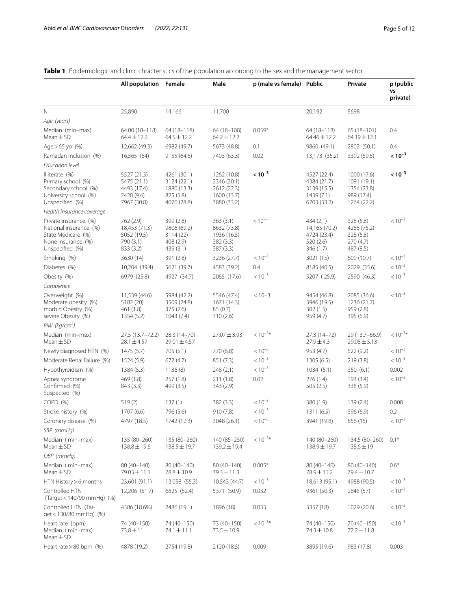<span id="page-4-0"></span>

|  |  | <b>Table 1</b> Epidemiologic and clinic chracteristics of the population according to the sex and the management sector |
|--|--|-------------------------------------------------------------------------------------------------------------------------|
|  |  |                                                                                                                         |

|                                                                                                                | All population Female                                                  |                                                                       | Male                                                                    | p (male vs female) Public |                                                                       | Private                                                                | p (public<br>VS<br>private) |
|----------------------------------------------------------------------------------------------------------------|------------------------------------------------------------------------|-----------------------------------------------------------------------|-------------------------------------------------------------------------|---------------------------|-----------------------------------------------------------------------|------------------------------------------------------------------------|-----------------------------|
| $\mathbb N$                                                                                                    | 25,890                                                                 | 14,166                                                                | 11,700                                                                  |                           | 20,192                                                                | 5698                                                                   |                             |
| Age (years)                                                                                                    |                                                                        |                                                                       |                                                                         |                           |                                                                       |                                                                        |                             |
| Median (min-max)<br>$Mean \pm SD$                                                                              | 64.00 (18-118)<br>$64.4 \pm 12.2$                                      | 64 (18-118)<br>$64.5 \pm 12.2$                                        | 64 (18-108)<br>$64.2 \pm 12.2$                                          | $0.059*$                  | 64 (18-118)<br>64.46±12.2                                             | 65 (18-101)<br>$64.19 \pm 12.1$                                        | 0.4                         |
| Age $> 65$ yo $(%)$                                                                                            | 12,662 (49.3)                                                          | 6982 (49.7)                                                           | 5673 (48.8)                                                             | 0.1                       | 9860 (49.1)                                                           | 2802 (50.1)                                                            | 0.4                         |
| Ramadan Inclusion (%)                                                                                          | 16,565 (64)                                                            | 9155 (64.6)                                                           | 7403 (63.3)                                                             | 0.02                      | 13,173 (35.2)                                                         | 3392 (59.5)                                                            | $< 10^{-3}$                 |
| <b>Education level</b>                                                                                         |                                                                        |                                                                       |                                                                         |                           |                                                                       |                                                                        |                             |
| Illiterate (%)<br>Primary school (%)<br>Secondary school (%)<br>University school (%)<br>Unspecified (%)       | 5527 (21.3)<br>5475 (21.1)<br>4493 (17.4)<br>2428 (9.4)<br>7967 (30.8) | 4261 (30.1)<br>3124 (22.1)<br>1880 (13.3)<br>825 (5.8)<br>4076 (28.8) | 1262 (10.8)<br>2346 (20.1)<br>2612 (22.3)<br>1600 (13.7)<br>3880 (33.2) | $< 10^{-3}$               | 4527 (22.4)<br>4384 (21.7)<br>3139 (15.5)<br>1439(7.1)<br>6703 (33.2) | 1000 (17.6)<br>1091 (19.1)<br>1354 (23.8)<br>989 (17.4)<br>1264 (22.2) | $< 10^{-3}$                 |
| Health insurance coverage                                                                                      |                                                                        |                                                                       |                                                                         |                           |                                                                       |                                                                        |                             |
| Private insurance (%)<br>National insurance (%)<br>State Medicare (%)<br>None insurance (%)<br>Unspecified (%) | 762 (2.9)<br>18,453 (71.3)<br>5052 (19.5)<br>790 (3.1)<br>833 (3.2)    | 399 (2.8)<br>9806 (69.2)<br>3114 (22)<br>408 (2.9)<br>439 (3.1)       | 363 (3.1)<br>8632 (73.8)<br>1936 (16.5)<br>382 (3.3)<br>387 (3.3)       | $< 10^{-3}$               | 434 (2.1)<br>14,165 (70.2)<br>4724 (23.4)<br>520 (2.6)<br>346 (1.7)   | 328 (5.8)<br>4285 (75.2)<br>328 (5.8)<br>270 (4.7)<br>487 (8.5)        | $< 10^{-3}$                 |
| Smoking (%)                                                                                                    | 3630 (14)                                                              | 391 (2.8)                                                             | 3236 (27.7)                                                             | $< 10^{-3}$               | 3021 (15)                                                             | 609 (10.7)                                                             | $< 10^{-3}$                 |
| Diabetes (%)                                                                                                   | 10,204 (39.4)                                                          | 5621 (39.7)                                                           | 4583 (39.2)                                                             | 0.4                       | 8185 (40.5)                                                           | 2029 (35.6)                                                            | $< 10^{-3}$                 |
| Obesity (%)                                                                                                    | 6979 (25.8)                                                            | 4927 (34.7)                                                           | 2065 (17.6)                                                             | $< 10^{-3}$               | 5207 (25.9)                                                           | 2590 (46.3)                                                            | $< 10^{-3}$                 |
| Corpulence                                                                                                     |                                                                        |                                                                       |                                                                         |                           |                                                                       |                                                                        |                             |
| Overweight (%)<br>Moderate obesity (%)<br>morbid Obesity (%)<br>severe Obesity (%)                             | 11,539 (44.6)<br>5182 (20)<br>461 (1.8)<br>1354 (5.2)                  | 5984 (42.2)<br>3509 (24.8)<br>375 (2.6)<br>1043(7.4)                  | 5546 (47.4)<br>1671 (14.3)<br>85(0.7)<br>310(2.6)                       | $< 10 - 3$                | 9454 (46.8)<br>3946 (19.5)<br>302 (1.5)<br>959 (4.7)                  | 2085 (36.6)<br>1236 (21.7)<br>959 (2.8)<br>395 (6.9)                   | $< 10^{-3}$                 |
| BMI (kg/cm <sup>2</sup> )                                                                                      |                                                                        |                                                                       |                                                                         |                           |                                                                       |                                                                        |                             |
| Median (min-max)<br>$Mean \pm SD$                                                                              | 27.5 (13.7–72.2)<br>$28.1 \pm 4.57$                                    | 28.3 (14-70)<br>$29.01 \pm 4.57$                                      | $27.07 \pm 3.93$                                                        | $< 10^{-3*}$              | 27.3 (14-72)<br>$27.9 \pm 4.3$                                        | 29 (13.7-66.9)<br>$29.08 \pm 5.13$                                     | $< 10^{-3*}$                |
| Newly diagnosed HTN (%)                                                                                        | 1475(5.7)                                                              | 705(5.1)                                                              | 770 (6.8)                                                               | $< 10^{-3}$               | 953 (4.7)                                                             | 522 (9.2)                                                              | $< 10^{-3}$                 |
| Moderate Renal Failure (%)                                                                                     | 1524 (5.9)                                                             | 672 (4.7)                                                             | 851 (7.3)                                                               | $< 10^{-3}$               | 1305(6.5)                                                             | 219 (3.8)                                                              | $< 10^{-3}$                 |
| Hypothyroidism (%)                                                                                             | 1384 (5.3)                                                             | 1136(8)                                                               | 248(2.1)                                                                | $< 10^{-3}$               | 1034(5.1)                                                             | 350 (6.1)                                                              | 0.002                       |
| Apnea syndrome<br>Confirmed (%)<br>Suspected (%)                                                               | 469 (1.8)<br>843 (3.3)                                                 | 257(1.8)<br>499 (3.5)                                                 | 211 (1.8)<br>343 (2.9)                                                  | 0.02                      | 276 (1.4)<br>505 (2.5)                                                | 193 (3.4)<br>338 (5.9)                                                 | $< 10^{-3}$                 |
| COPD (%)                                                                                                       | 519(2)                                                                 | 137(1)                                                                | 382(3.3)                                                                | $< 10^{-3}$               | 380 (1.9)                                                             | 139(2.4)                                                               | 0.008                       |
| Stroke history (%)                                                                                             | 1707 (6.6)                                                             | 796 (5.6)                                                             | 910(7.8)                                                                | $< 10^{-3}$               | 1311 (6.5)                                                            | 396 (6.9)                                                              | 0.2                         |
| Coronary disease (%)                                                                                           | 4797 (18.5)                                                            | 1742 (12.3)                                                           | 3048 (26.1)                                                             | $< 10^{-3}$               | 3941 (19.8)                                                           | 856 (15)                                                               | $< 10^{-3}$                 |
| SBP (mmHg)                                                                                                     |                                                                        |                                                                       |                                                                         |                           |                                                                       |                                                                        |                             |
| Median (min-max)<br>$Mean \pm SD$                                                                              | 135 (80-260)<br>$138.8 \pm 19.6$                                       | 135 (80-260)<br>$138.5 \pm 19.7$                                      | 140 (85-250)<br>$139.2 \pm 19.4$                                        | $< 10^{-3*}$              | 140 (80-260)<br>138.9±19.7                                            | 134.5 (80-260)<br>$138.6 \pm 19$                                       | $0.1*$                      |
| DBP (mmHq)                                                                                                     |                                                                        |                                                                       |                                                                         |                           |                                                                       |                                                                        |                             |
| Median (min-max)<br>$Mean \pm SD$                                                                              | 80 (40-140)<br>$79.03 \pm 11.1$                                        | 80 (40-140)<br>78.8 ± 10.9                                            | 80 (40-140)<br>$79.3 \pm 11.3$                                          | $0.005*$                  | 80 (40-140)<br>78.9±11.2                                              | 80 (40-140)<br>79.4 ± 10.7                                             | $0.6*$                      |
| HTN History > 6 months                                                                                         | 23,601 (91.1)                                                          | 13,058 (55.3)                                                         | 10,543 (44.7)                                                           | $< 10^{-3}$               | 18,613 (95.1)                                                         | 4988 (90.5)                                                            | $< 10^{-3}$                 |
| Controlled HTN<br>(Target < 140/90 mmHg) (%)                                                                   | 12,206 (51.7)                                                          | 6825 (52.4)                                                           | 5371 (50.9)                                                             | 0.032                     | 9361 (50.3)                                                           | 2845 (57)                                                              | $< 10^{-3}$                 |
| Controlled HTN (Tar-<br>qet < 130/80 mmHq) (%)                                                                 | 4386 (18.6%)                                                           | 2486 (19.1)                                                           | 1896 (18)                                                               | 0.033                     | 3357 (18)                                                             | 1029 (20.6)                                                            | $< 10^{-3}$                 |
| Heart rate (bpm)<br>Median (min-max)<br>$Mean \pm SD$                                                          | 74 (40–150)<br>73.8±11                                                 | 74 (40-150)<br>74.1 ± 11.1                                            | 73 (40-150)<br>$73.5 \pm 10.9$                                          | $< 10^{-3*}$              | 74 (40–150)<br>$74.3 \pm 10.8$                                        | 70 (40-150)<br>$72.2 \pm 11.8$                                         | $< 10^{-3}$                 |
| Heart rate > 80 bpm (%)                                                                                        | 4878 (19.2)                                                            | 2754 (19.8)                                                           | 2120 (18.5)                                                             | 0.009                     | 3895 (19.6)                                                           | 983 (17.8)                                                             | 0.003                       |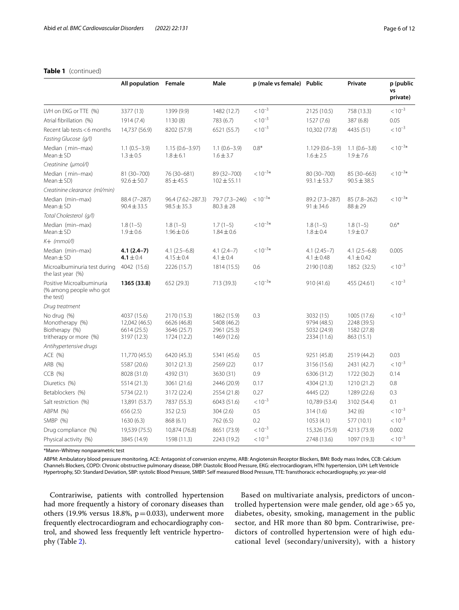|                                                                            | All population Female                                      |                                                          | Male                                                     | p (male vs female) Public |                                                        | Private                                                 | p (public<br>VS<br>private) |
|----------------------------------------------------------------------------|------------------------------------------------------------|----------------------------------------------------------|----------------------------------------------------------|---------------------------|--------------------------------------------------------|---------------------------------------------------------|-----------------------------|
| LVH on EKG or TTE (%)                                                      | 3377 (13)                                                  | 1399 (9.9)                                               | 1482 (12.7)                                              | $< 10^{-3}$               | 2125 (10.5)                                            | 758 (13.3)                                              | $< 10^{-3}$                 |
| Atrial fibrillation (%)                                                    | 1914 (7.4)                                                 | 1130 (8)                                                 | 783 (6.7)                                                | $< 10^{-3}$               | 1527 (7.6)                                             | 387 (6.8)                                               | 0.05                        |
| Recent lab tests < 6 months                                                | 14,737 (56.9)                                              | 8202 (57.9)                                              | 6521 (55.7)                                              | $< 10^{-3}$               | 10,302 (77.8)                                          | 4435 (51)                                               | $< 10^{-3}$                 |
| Fasting Glucose (g/l)                                                      |                                                            |                                                          |                                                          |                           |                                                        |                                                         |                             |
| Median (min-max)<br>$Mean \pm SD$                                          | $1.1(0.5-3.9)$<br>$1.3 \pm 0.5$                            | $1.15(0.6 - 3.97)$<br>$1.8 \pm 6.1$                      | $1.1(0.6-3.9)$<br>$1.6 \pm 3.7$                          | $0.8*$                    | $1.129(0.6 - 3.9)$<br>$1.6 \pm 2.5$                    | $1.1(0.6 - 3.8)$<br>$1.9 \pm 7.6$                       | $< 10^{-3*}$                |
| Creatinine (umol/l)                                                        |                                                            |                                                          |                                                          |                           |                                                        |                                                         |                             |
| Median (min-max)<br>Mean $\pm$ SD)                                         | 81 (30-700)<br>$92.6 \pm 50.7$                             | 76 (30-681)<br>$85 + 45.5$                               | 89 (32-700)<br>$102 \pm 55.11$                           | $< 10^{-3*}$              | 80 (30-700)<br>$93.1 \pm 53.7$                         | 85 (30-663)<br>$90.5 \pm 38.5$                          | $< 10^{-3*}$                |
| Creatinine clearance (ml/min)                                              |                                                            |                                                          |                                                          |                           |                                                        |                                                         |                             |
| Median (min-max)<br>$Mean \pm SD$                                          | 88.4 (7-287)<br>$90.4 \pm 33.5$                            | 96.4 (7.62-287.3)<br>$98.5 \pm 35.3$                     | 79.7 (7.3-246)<br>$80.3 \pm 28$                          | $< 10^{-3*}$              | 89.2 (7.3-287)<br>$91 \pm 34.6$                        | 85 (7.8-262)<br>$88 + 29$                               | $< 10^{-3*}$                |
| Total Cholesterol (g/l)                                                    |                                                            |                                                          |                                                          |                           |                                                        |                                                         |                             |
| Median (min-max)<br>$Mean \pm SD$                                          | $1.8(1-5)$<br>$1.9 \pm 0.6$                                | $1.8(1-5)$<br>$1.96 \pm 0.6$                             | $1.7(1-5)$<br>$1.84 \pm 0.6$                             | $< 10^{-3*}$              | $1.8(1-5)$<br>$1.8 \pm 0.4$                            | $1.8(1-5)$<br>$1.9 \pm 0.7$                             | $0.6*$                      |
| $K+$ (mmol/l)                                                              |                                                            |                                                          |                                                          |                           |                                                        |                                                         |                             |
| Median (min-max)<br>$Mean \pm SD$                                          | $4.1(2.4-7)$<br>4.1 $\pm$ 0.4                              | $4.1(2.5-6.8)$<br>$4.15 \pm 0.4$                         | $4.1(2.4-7)$<br>$4.1 \pm 0.4$                            | $< 10^{-3*}$              | $4.1(2.45-7)$<br>$4.1 \pm 0.48$                        | $4.1(2.5-6.8)$<br>$4.1 \pm 0.42$                        | 0.005                       |
| Microalbuminuria test during<br>the last year (%)                          | 4042 (15.6)                                                | 2226 (15.7)                                              | 1814 (15.5)                                              | 0.6                       | 2190 (10.8)                                            | 1852 (32.5)                                             | $< 10^{-3}$                 |
| Positive Microalbuminuria<br>(% among people who got<br>the test)          | 1365 (33.8)                                                | 652 (29.3)                                               | 713 (39.3)                                               | $< 10^{-3*}$              | 910(41.6)                                              | 455 (24.61)                                             | $< 10^{-3}$                 |
| Drug treatment                                                             |                                                            |                                                          |                                                          |                           |                                                        |                                                         |                             |
| No drug (%)<br>Monotherapy (%)<br>Biotherapy (%)<br>tritherapy or more (%) | 4037 (15.6)<br>12,042 (46.5)<br>6614 (25.5)<br>3197 (12.3) | 2170 (15.3)<br>6626 (46.8)<br>3646 (25.7)<br>1724 (12.2) | 1862 (15.9)<br>5408 (46.2)<br>2961 (25.3)<br>1469 (12.6) | 0.3                       | 3032 (15)<br>9794 (48.5)<br>5032 (24.9)<br>2334 (11.6) | 1005 (17.6)<br>2248 (39.5)<br>1582 (27.8)<br>863 (15.1) | $< 10^{-3}$                 |
| Antihypertensive drugs                                                     |                                                            |                                                          |                                                          |                           |                                                        |                                                         |                             |
| ACE (%)                                                                    | 11,770 (45.5)                                              | 6420 (45.3)                                              | 5341 (45.6)                                              | 0.5                       | 9251 (45.8)                                            | 2519 (44.2)                                             | 0.03                        |
| ARB (%)                                                                    | 5587 (20.6)                                                | 3012 (21.3)                                              | 2569 (22)                                                | 0.17                      | 3156 (15.6)                                            | 2431 (42.7)                                             | $< 10^{-3}$                 |
| CCB (%)                                                                    | 8028 (31.0)                                                | 4392 (31)                                                | 3630 (31)                                                | 0.9                       | 6306 (31.2)                                            | 1722 (30.2)                                             | 0.14                        |
| Diuretics (%)                                                              | 5514 (21.3)                                                | 3061 (21.6)                                              | 2446 (20.9)                                              | 0.17                      | 4304 (21.3)                                            | 1210 (21.2)                                             | 0.8                         |
| Betablockers (%)                                                           | 5734 (22.1)                                                | 3172 (22.4)                                              | 2554 (21.8)                                              | 0.27                      | 4445 (22)                                              | 1289 (22.6)                                             | 0.3                         |
| Salt restriction (%)                                                       | 13,891 (53.7)                                              | 7837 (55.3)                                              | 6043 (51.6)                                              | $< 10^{-3}$               | 10,789 (53.4)                                          | 3102 (54.4)                                             | 0.1                         |
| ABPM (%)                                                                   | 656 (2.5)                                                  | 352(2.5)                                                 | 304(2.6)                                                 | 0.5                       | 314(1.6)                                               | 342 (6)                                                 | $< 10^{-3}$                 |
| SMBP (%)                                                                   | 1630(6.3)                                                  | 868 (6.1)                                                | 762 (6.5)                                                | 0.2                       | 1053(4.1)                                              | 577 (10.1)                                              | $< 10^{-3}$                 |
| Drug compliance (%)                                                        | 19,539 (75.5)                                              | 10,874 (76.8)                                            | 8651 (73.9)                                              | $< 10^{-3}$               | 15,326 (75.9)                                          | 4213 (73.9)                                             | 0.002                       |
| Physical activity (%)                                                      | 3845 (14.9)                                                | 1598 (11.3)                                              | 2243 (19.2)                                              | $< 10^{-3}$               | 2748 (13.6)                                            | 1097 (19.3)                                             | $< 10^{-3}$                 |

## **Table 1** (continued)

\*Mann–Whitney nonparametric test

ABPM: Ambulatory blood pressure monitoring, ACE: Antagonist of conversion enzyme, ARB: Angiotensin Receptor Blockers, BMI: Body mass Index, CCB: Calcium Channels Blockers, COPD: Chronic obstructive pulmonary disease, DBP: Diastolic Blood Pressure, EKG: electrocardiogram, HTN: hypertension, LVH: Left Ventricle Hypertrophy, SD: Standard Deviation, SBP: systolic Blood Pressure, SMBP: Self measured Blood Pressure, TTE: Transthoracic echocardiography, yo: year-old

Contrariwise, patients with controlled hypertension had more frequently a history of coronary diseases than others (19.9% versus 18.8%,  $p=0.033$ ), underwent more frequently electrocardiogram and echocardiography control, and showed less frequently left ventricle hypertrophy (Table [2\)](#page-6-0).

Based on multivariate analysis, predictors of uncontrolled hypertension were male gender, old age > 65 yo, diabetes, obesity, smoking, management in the public sector, and HR more than 80 bpm. Contrariwise, predictors of controlled hypertension were of high educational level (secondary/university), with a history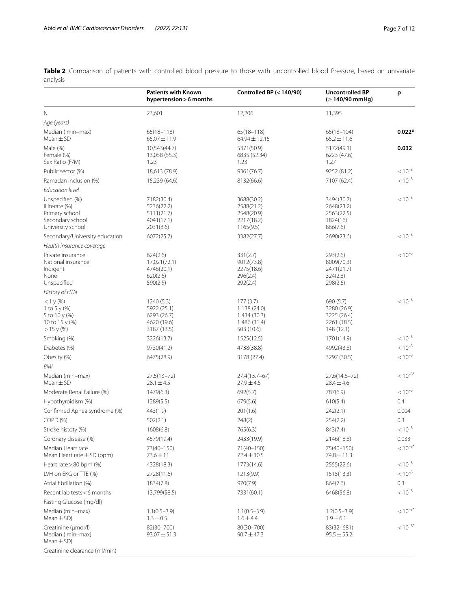<span id="page-6-0"></span>**Table 2** Comparison of patients with controlled blood pressure to those with uncontrolled blood Pressure, based on univariate analysis

|                                                                                              | <b>Patients with Known</b><br>hypertension > 6 months                  | Controlled BP (< 140/90)                                             | <b>Uncontrolled BP</b><br>$( \geq 140/90$ mmHg)                      | p            |
|----------------------------------------------------------------------------------------------|------------------------------------------------------------------------|----------------------------------------------------------------------|----------------------------------------------------------------------|--------------|
| N                                                                                            | 23,601                                                                 | 12,206                                                               | 11,395                                                               |              |
| Age (years)                                                                                  |                                                                        |                                                                      |                                                                      |              |
| Median (min-max)<br>Mean $\pm$ SD                                                            | $65(18 - 118)$<br>$65.07 \pm 11.9$                                     | $65(18 - 118)$<br>64.94 ± 12.15                                      | $65(18 - 104)$<br>$65.2 \pm 11.6$                                    | $0.022*$     |
| Male (%)<br>Female (%)<br>Sex Ratio (F/M)                                                    | 10,543(44.7)<br>13,058 (55.3)<br>1.23                                  | 5371(50.9)<br>6835 (52.34)<br>1.23                                   | 5172(49.1)<br>6223 (47.6)<br>1.27                                    | 0.032        |
| Public sector (%)                                                                            | 18,613 (78.9)                                                          | 9361(76.7)                                                           | 9252 (81.2)                                                          | $< 10^{-3}$  |
| Ramadan inclusion (%)                                                                        | 15,239 (64.6)                                                          | 8132(66.6)                                                           | 7107 (62.4)                                                          | $< 10^{-3}$  |
| <b>Education level</b>                                                                       |                                                                        |                                                                      |                                                                      |              |
| Unspecified (%)<br>Illiterate (%)<br>Primary school<br>Secondary school<br>University school | 7182(30.4)<br>5236(22.2)<br>5111(21.7)<br>4041(17.1)<br>2031(8.6)      | 3688(30.2)<br>2588(21.2)<br>2548(20.9)<br>2217(18.2)<br>1165(9.5)    | 3494(30.7)<br>2648(23.2)<br>2563(22.5)<br>1824(16)<br>866(7.6)       | $< 10^{-3}$  |
| Secondary/University education                                                               | 6072(25.7)                                                             | 3382(27.7)                                                           | 2690(23.6)                                                           | $< 10^{-3}$  |
| Health insurance coverage                                                                    |                                                                        |                                                                      |                                                                      |              |
| Private insurance<br>National insurance<br>Indigent<br>None<br>Unspecified                   | 624(2.6)<br>17,021(72.1)<br>4746(20.1)<br>620(2.6)<br>590(2.5)         | 331(2.7)<br>9012(73.8)<br>2275(18.6)<br>296(2.4)<br>292(2.4)         | 293(2.6)<br>8009(70.3)<br>2471(21.7)<br>324(2.8)<br>298(2.6)         | $< 10^{-3}$  |
| History of HTN                                                                               |                                                                        |                                                                      |                                                                      |              |
| $<$ 1 y (%)<br>1 to 5 y $(\%)$<br>5 to 10 y (%)<br>10 to 15 y (%)<br>$> 15$ y (%)            | 1240 (5.3)<br>5922 (25.1)<br>6293 (26.7)<br>4620 (19.6)<br>3187 (13.5) | 177(3.7)<br>1138(24.0)<br>1 434 (30.3)<br>1 486 (31.4)<br>503 (10.6) | 690 (5.7)<br>3280 (26.9)<br>3225 (26.4)<br>2261 (18.5)<br>148 (12.1) | $< 10^{-3}$  |
| Smoking (%)                                                                                  | 3226(13.7)                                                             | 1525(12.5)                                                           | 1701(14.9)                                                           | $< 10^{-3}$  |
| Diabetes (%)                                                                                 | 9730(41.2)                                                             | 4738(38.8)                                                           | 4992(43.8)                                                           | $< 10^{-3}$  |
| Obesity (%)                                                                                  | 6475(28.9)                                                             | 3178 (27.4)                                                          | 3297 (30.5)                                                          | $< 10^{-3}$  |
| BMI                                                                                          |                                                                        |                                                                      |                                                                      |              |
| Median (min-max)<br>$Mean \pm SD$                                                            | $27.5(13 - 72)$<br>$28.1 \pm 4.5$                                      | 27.4(13.7-67)<br>$27.9 \pm 4.5$                                      | 27.6(14.6-72)<br>$28.4 \pm 4.6$                                      | $< 10^{-3*}$ |
| Moderate Renal Failure (%)                                                                   | 1479(6.3)                                                              | 692(5.7)                                                             | 787(6.9)                                                             | $< 10^{-3}$  |
| Hypothyroidism (%)                                                                           | 1289(5.5)                                                              | 679(5.6)                                                             | 610(5.4)                                                             | 0.4          |
| Confirmed Apnea syndrome (%)                                                                 | 443(1.9)                                                               | 201(1.6)                                                             | 242(2.1)                                                             | 0.004        |
| COPD (%)                                                                                     | 502(2.1)                                                               | 248(2)                                                               | 254(2.2)                                                             | 0.3          |
| Stroke histoty (%)                                                                           | 1608(6.8)                                                              | 765(6.3)                                                             | 843(7.4)                                                             | $< 10^{-3}$  |
| Coronary disease (%)                                                                         | 4579(19.4)                                                             | 2433(19.9)                                                           | 2146(18.8)                                                           | 0.033        |
| Median Heart rate<br>Mean Heart rate $\pm$ SD (bpm)                                          | 73(40-150)<br>$73.6 \pm 11$                                            | $71(40 - 150)$<br>72.4 ± 10.5                                        | 75(40-150)<br>74.8±11.3                                              | $< 10^{-3*}$ |
| Heart rate > 80 bpm (%)                                                                      | 4328(18.3)                                                             | 1773(14.6)                                                           | 2555(22.6)                                                           | $< 10^{-3}$  |
| LVH on EKG or TTE (%)                                                                        | 2728(11.6)                                                             | 1213(9.9)                                                            | 1515(13.3)                                                           | $< 10^{-3}$  |
| Atrial fibrillation (%)                                                                      | 1834(7.8)                                                              | 970(7.9)                                                             | 864(7.6)                                                             | 0.3          |
| Recent lab tests <6 months                                                                   | 13,799(58.5)                                                           | 7331(60.1)                                                           | 6468(56.8)                                                           | $< 10^{-3}$  |
| Fasting Glucose (mg/dl)                                                                      |                                                                        |                                                                      |                                                                      |              |
| Median (min-max)<br>Mean $\pm$ SD)                                                           | $1.1(0.5-3.9)$<br>$1.3 \pm 0.5$                                        | $1.1(0.5-3.9)$<br>$1.6 \pm 4.4$                                      | $1.2(0.5-3.9)$<br>$1.9 \pm 6.1$                                      | $< 10^{-3*}$ |
| Creatinine (µmol/l)<br>Median (min-max)<br>Mean $\pm$ SD)                                    | 82(30-700)<br>$93.07 \pm 51.3$                                         | 80(30-700)<br>$90.7 \pm 47.3$                                        | 83(32-681)<br>$95.5 \pm 55.2$                                        | $< 10^{-3*}$ |
| Creatinine clearance (ml/min)                                                                |                                                                        |                                                                      |                                                                      |              |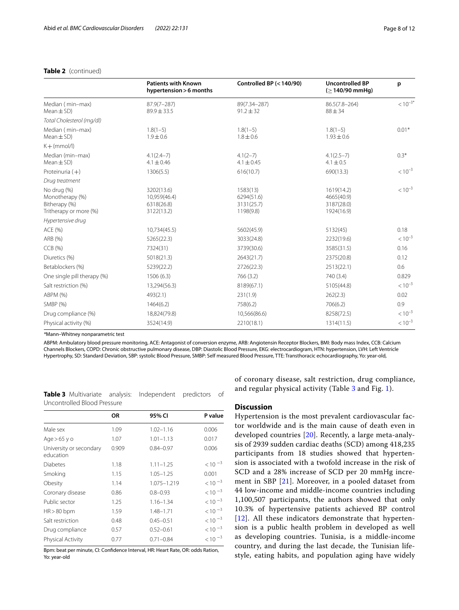## **Table 2** (continued)

|                                                                           | <b>Patients with Known</b><br>hypertension > 6 months  | Controlled BP (< 140/90)                          | <b>Uncontrolled BP</b><br>$( \geq 140/90 \text{ mmHg})$ | p            |
|---------------------------------------------------------------------------|--------------------------------------------------------|---------------------------------------------------|---------------------------------------------------------|--------------|
| Median (min-max)<br>$Mean \pm SD$                                         | $87.9(7 - 287)$<br>$89.9 \pm 33.5$                     | 89(7.34-287)<br>$91.2 \pm 32$                     | $86.5(7.8 - 264)$<br>$88 \pm 34$                        | $< 10^{-3*}$ |
| Total Cholesterol (mg/dl)                                                 |                                                        |                                                   |                                                         |              |
| Median (min-max)<br>$Mean \pm SD$ )                                       | $1.8(1-5)$<br>$1.9 \pm 0.6$                            | $1.8(1-5)$<br>$1.8 \pm 0.6$                       | $1.8(1-5)$<br>$1.93 \pm 0.6$                            | $0.01*$      |
| $K + (mmol/l)$                                                            |                                                        |                                                   |                                                         |              |
| Median (min-max)<br>$Mean \pm SD$                                         | $4.1(2.4 - 7)$<br>$4.1 \pm 0.46$                       | $4.1(2-7)$<br>$4.1 \pm 0.45$                      | $4.1(2.5 - 7)$<br>$4.1 \pm 0.5$                         | $0.3*$       |
| Proteinuria $(+)$                                                         | 1306(5.5)                                              | 616(10.7)                                         | 690(13.3)                                               | $< 10^{-3}$  |
| Drug treatment                                                            |                                                        |                                                   |                                                         |              |
| No drug (%)<br>Monotherapy (%)<br>Bitherapy (%)<br>Tritherapy or more (%) | 3202(13.6)<br>10,959(46.4)<br>6318(26.8)<br>3122(13.2) | 1583(13)<br>6294(51.6)<br>3131(25.7)<br>1198(9.8) | 1619(14.2)<br>4665(40.9)<br>3187(28.0)<br>1924(16.9)    | $< 10^{-3}$  |
| Hypertensive drug                                                         |                                                        |                                                   |                                                         |              |
| ACE (%)                                                                   | 10,734(45.5)                                           | 5602(45.9)                                        | 5132(45)                                                | 0.18         |
| ARB (%)                                                                   | 5265(22.3)                                             | 3033(24.8)                                        | 2232(19.6)                                              | $< 10^{-3}$  |
| CCB(%)                                                                    | 7324(31)                                               | 3739(30.6)                                        | 3585(31.5)                                              | 0.16         |
| Diuretics (%)                                                             | 5018(21.3)                                             | 2643(21.7)                                        | 2375(20.8)                                              | 0.12         |
| Betablockers (%)                                                          | 5239(22.2)                                             | 2726(22.3)                                        | 2513(22.1)                                              | 0.6          |
| One single pill therapy (%)                                               | 1506 (6.3)                                             | 766 (3.2)                                         | 740 (3.4)                                               | 0.829        |
| Salt restriction (%)                                                      | 13,294(56.3)                                           | 8189(67.1)                                        | 5105(44.8)                                              | $< 10^{-3}$  |
| ABPM (%)                                                                  | 493(2.1)                                               | 231(1.9)                                          | 262(2.3)                                                | 0.02         |
| SMBP (%)                                                                  | 1464(6.2)                                              | 758(6.2)                                          | 706(6.2)                                                | 0.9          |
| Drug compliance (%)                                                       | 18,824(79.8)                                           | 10,566(86.6)                                      | 8258(72.5)                                              | $< 10^{-3}$  |
| Physical activity (%)                                                     | 3524(14.9)                                             | 2210(18.1)                                        | 1314(11.5)                                              | $< 10^{-3}$  |

*\**Mann–Whitney nonparametric test

ABPM: Ambulatory blood pressure monitoring, ACE: Antagonist of conversion enzyme, ARB: Angiotensin Receptor Blockers, BMI: Body mass Index, CCB: Calcium Channels Blockers, COPD: Chronic obstructive pulmonary disease, DBP: Diastolic Blood Pressure, EKG: electrocardiogram, HTN: hypertension, LVH: Left Ventricle Hypertrophy, SD: Standard Deviation, SBP: systolic Blood Pressure, SMBP: Self measured Blood Pressure, TTE: Transthoracic echocardiography, Yo: year-old,

<span id="page-7-0"></span>**Table 3** Multivariate analysis: Independent predictors of Uncontrolled Blood Pressure

|                                      | 0R    | 95% CI        | P value     |
|--------------------------------------|-------|---------------|-------------|
| Male sex                             | 1.09  | $1.02 - 1.16$ | 0.006       |
| Age $>65$ y o                        | 1.07  | $1.01 - 1.13$ | 0.017       |
| University or secondary<br>education | 0.909 | $0.84 - 0.97$ | 0.006       |
| Diabetes                             | 1.18  | $1.11 - 1.25$ | $< 10^{-3}$ |
| Smoking                              | 1.15  | $1.05 - 1.25$ | 0.001       |
| Obesity                              | 1.14  | 1.075-1.219   | $< 10^{-3}$ |
| Coronary disease                     | 0.86  | $0.8 - 0.93$  | $< 10^{-3}$ |
| Public sector                        | 1.25  | $1.16 - 1.34$ | $< 10^{-3}$ |
| $HR > 80$ bpm                        | 1.59  | 1.48-1.71     | $< 10^{-3}$ |
| Salt restriction                     | 0.48  | $0.45 - 0.51$ | $< 10^{-3}$ |
| Drug compliance                      | 0.57  | $0.52 - 0.61$ | $< 10^{-3}$ |
| Physical Activity                    | 0.77  | $0.71 - 0.84$ | $< 10^{-3}$ |
|                                      |       |               |             |

Bpm: beat per minute, CI: Confdence Interval, HR: Heart Rate, OR: odds Ration, Yo: year-old

of coronary disease, salt restriction, drug compliance, and regular physical activity (Table [3](#page-7-0) and Fig. [1](#page-8-0)).

## **Discussion**

Hypertension is the most prevalent cardiovascular factor worldwide and is the main cause of death even in developed countries [[20\]](#page-11-9). Recently, a large meta-analysis of 2939 sudden cardiac deaths (SCD) among 418,235 participants from 18 studies showed that hypertension is associated with a twofold increase in the risk of SCD and a 28% increase of SCD per 20 mmHg increment in SBP [[21\]](#page-11-10). Moreover, in a pooled dataset from 44 low-income and middle-income countries including 1,100,507 participants, the authors showed that only 10.3% of hypertensive patients achieved BP control  $[12]$  $[12]$  $[12]$ . All these indicators demonstrate that hypertension is a public health problem in developed as well as developing countries. Tunisia, is a middle-income country, and during the last decade, the Tunisian lifestyle, eating habits, and population aging have widely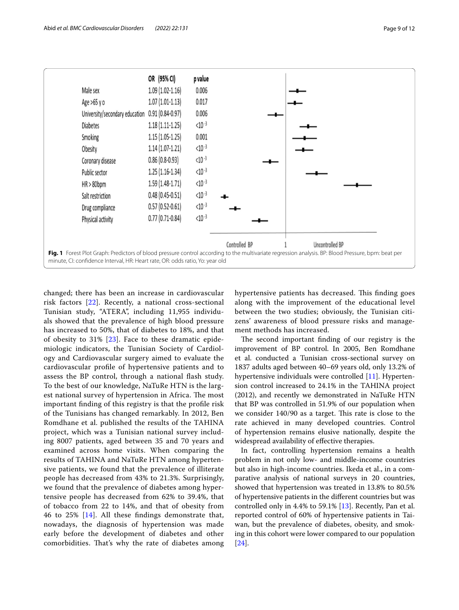

<span id="page-8-0"></span>changed; there has been an increase in cardiovascular risk factors [[22\]](#page-11-12). Recently, a national cross-sectional Tunisian study, "ATERA", including 11,955 individuals showed that the prevalence of high blood pressure has increased to 50%, that of diabetes to 18%, and that of obesity to  $31\%$  [[23\]](#page-11-13). Face to these dramatic epidemiologic indicators, the Tunisian Society of Cardiology and Cardiovascular surgery aimed to evaluate the cardiovascular profle of hypertensive patients and to assess the BP control, through a national fash study. To the best of our knowledge, NaTuRe HTN is the largest national survey of hypertension in Africa. The most important fnding of this registry is that the profle risk of the Tunisians has changed remarkably. In 2012, Ben Romdhane et al. published the results of the TAHINA project, which was a Tunisian national survey including 8007 patients, aged between 35 and 70 years and examined across home visits. When comparing the results of TAHINA and NaTuRe HTN among hypertensive patients, we found that the prevalence of illiterate people has decreased from 43% to 21.3%. Surprisingly, we found that the prevalence of diabetes among hypertensive people has decreased from 62% to 39.4%, that of tobacco from 22 to 14%, and that of obesity from 46 to 25% [\[14](#page-11-3)]. All these fndings demonstrate that, nowadays, the diagnosis of hypertension was made early before the development of diabetes and other comorbidities. That's why the rate of diabetes among hypertensive patients has decreased. This finding goes along with the improvement of the educational level between the two studies; obviously, the Tunisian citizens' awareness of blood pressure risks and management methods has increased.

The second important finding of our registry is the improvement of BP control. In 2005, Ben Romdhane et al. conducted a Tunisian cross-sectional survey on 1837 adults aged between 40–69 years old, only 13.2% of hypertensive individuals were controlled [[11\]](#page-11-14). Hypertension control increased to 24.1% in the TAHINA project (2012), and recently we demonstrated in NaTuRe HTN that BP was controlled in 51.9% of our population when we consider 140/90 as a target. This rate is close to the rate achieved in many developed countries. Control of hypertension remains elusive nationally, despite the widespread availability of efective therapies.

In fact, controlling hypertension remains a health problem in not only low- and middle-income countries but also in high-income countries. Ikeda et al., in a comparative analysis of national surveys in 20 countries, showed that hypertension was treated in 13.8% to 80.5% of hypertensive patients in the diferent countries but was controlled only in 4.4% to 59.1% [\[13\]](#page-11-2). Recently, Pan et al. reported control of 60% of hypertensive patients in Taiwan, but the prevalence of diabetes, obesity, and smoking in this cohort were lower compared to our population [[24\]](#page-11-15).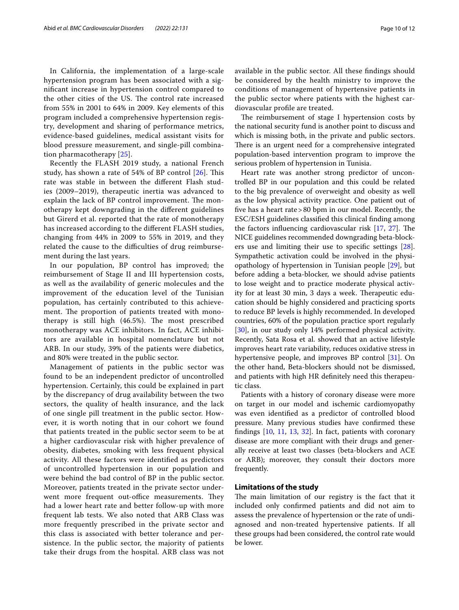In California, the implementation of a large-scale hypertension program has been associated with a signifcant increase in hypertension control compared to the other cities of the US. The control rate increased from 55% in 2001 to 64% in 2009. Key elements of this program included a comprehensive hypertension registry, development and sharing of performance metrics, evidence-based guidelines, medical assistant visits for blood pressure measurement, and single-pill combination pharmacotherapy [[25](#page-11-16)].

Recently the FLASH 2019 study, a national French study, has shown a rate of 54% of BP control  $[26]$  $[26]$  $[26]$ . This rate was stable in between the diferent Flash studies (2009–2019), therapeutic inertia was advanced to explain the lack of BP control improvement. The monotherapy kept downgrading in the diferent guidelines but Girerd et al. reported that the rate of monotherapy has increased according to the diferent FLASH studies, changing from 44% in 2009 to 55% in 2019, and they related the cause to the difficulties of drug reimbursement during the last years.

In our population, BP control has improved; the reimbursement of Stage II and III hypertension costs, as well as the availability of generic molecules and the improvement of the education level of the Tunisian population, has certainly contributed to this achievement. The proportion of patients treated with monotherapy is still high  $(46.5\%)$ . The most prescribed monotherapy was ACE inhibitors. In fact, ACE inhibitors are available in hospital nomenclature but not ARB. In our study, 39% of the patients were diabetics, and 80% were treated in the public sector.

Management of patients in the public sector was found to be an independent predictor of uncontrolled hypertension. Certainly, this could be explained in part by the discrepancy of drug availability between the two sectors, the quality of health insurance, and the lack of one single pill treatment in the public sector. However, it is worth noting that in our cohort we found that patients treated in the public sector seem to be at a higher cardiovascular risk with higher prevalence of obesity, diabetes, smoking with less frequent physical activity. All these factors were identifed as predictors of uncontrolled hypertension in our population and were behind the bad control of BP in the public sector. Moreover, patients treated in the private sector underwent more frequent out-office measurements. They had a lower heart rate and better follow-up with more frequent lab tests. We also noted that ARB Class was more frequently prescribed in the private sector and this class is associated with better tolerance and persistence. In the public sector, the majority of patients take their drugs from the hospital. ARB class was not available in the public sector. All these fndings should be considered by the health ministry to improve the conditions of management of hypertensive patients in the public sector where patients with the highest cardiovascular profle are treated.

The reimbursement of stage I hypertension costs by the national security fund is another point to discuss and which is missing both, in the private and public sectors. There is an urgent need for a comprehensive integrated population-based intervention program to improve the serious problem of hypertension in Tunisia.

Heart rate was another strong predictor of uncontrolled BP in our population and this could be related to the big prevalence of overweight and obesity as well as the low physical activity practice. One patient out of fve has a heart rate>80 bpm in our model. Recently, the ESC/ESH guidelines classifed this clinical fnding among the factors influencing cardiovascular risk  $[17, 27]$  $[17, 27]$  $[17, 27]$ . The NICE guidelines recommended downgrading beta-blockers use and limiting their use to specifc settings [\[28](#page-11-19)]. Sympathetic activation could be involved in the physiopathology of hypertension in Tunisian people [\[29](#page-11-20)], but before adding a beta-blocker, we should advise patients to lose weight and to practice moderate physical activity for at least 30 min, 3 days a week. Therapeutic education should be highly considered and practicing sports to reduce BP levels is highly recommended. In developed countries, 60% of the population practice sport regularly [[30\]](#page-11-21), in our study only 14% performed physical activity. Recently, Sata Rosa et al. showed that an active lifestyle improves heart rate variability, reduces oxidative stress in hypertensive people, and improves BP control [\[31](#page-11-22)]. On the other hand, Beta-blockers should not be dismissed, and patients with high HR defnitely need this therapeutic class.

Patients with a history of coronary disease were more on target in our model and ischemic cardiomyopathy was even identifed as a predictor of controlled blood pressure. Many previous studies have confrmed these fndings [\[10](#page-11-1), [11,](#page-11-14) [13](#page-11-2), [32](#page-11-23)]. In fact, patients with coronary disease are more compliant with their drugs and generally receive at least two classes (beta-blockers and ACE or ARB); moreover, they consult their doctors more frequently.

## **Limitations of the study**

The main limitation of our registry is the fact that it included only confrmed patients and did not aim to assess the prevalence of hypertension or the rate of undiagnosed and non-treated hypertensive patients. If all these groups had been considered, the control rate would be lower.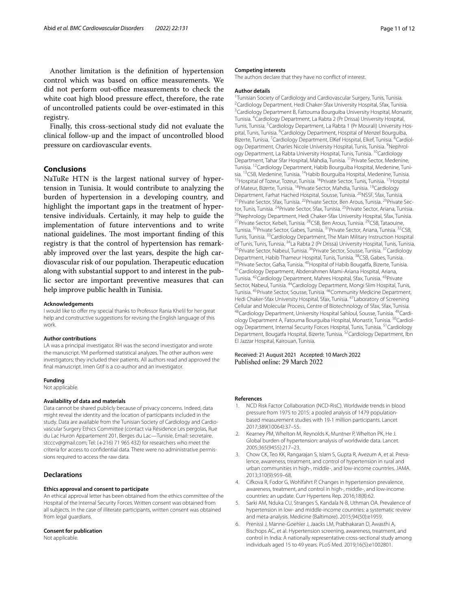Another limitation is the defnition of hypertension control which was based on office measurements. We did not perform out-office measurements to check the white coat high blood pressure effect, therefore, the rate of uncontrolled patients could be over-estimated in this registry.

Finally, this cross-sectional study did not evaluate the clinical follow-up and the impact of uncontrolled blood pressure on cardiovascular events.

## **Conclusions**

NaTuRe HTN is the largest national survey of hypertension in Tunisia. It would contribute to analyzing the burden of hypertension in a developing country, and highlight the important gaps in the treatment of hypertensive individuals. Certainly, it may help to guide the implementation of future interventions and to write national guidelines. The most important finding of this registry is that the control of hypertension has remarkably improved over the last years, despite the high cardiovascular risk of our population. Therapeutic education along with substantial support to and interest in the public sector are important preventive measures that can help improve public health in Tunisia.

#### **Acknowledgements**

I would like to offer my special thanks to Professor Rania Khelil for her great help and constructive suggestions for revising the English language of this work.

#### **Author contributions**

LA was a principal investigator. RH was the second investigator and wrote the manuscript. YM performed statistical analyzes. The other authors were investigators; they included their patients. All authors read and approved the fnal manuscript. Imen Gtif is a co-author and an investigator.

#### **Funding**

Not applicable.

#### **Availability of data and materials**

Data cannot be shared publicly because of privacy concerns. Indeed, data might reveal the identity and the location of participants included in the study. Data are available from the Tunisian Society of Cardiology and Cardiovascular Surgery Ethics Committee (contact via Résidence Les pergolas, Rue du Lac Huron Appartement 201, Berges du Lac—Tunisie, Email: secretaire. stcccv@gmail.com; Tel: (+216) 71 965 432) for researchers who meet the criteria for access to confdential data. There were no administrative permissions required to access the raw data.

## **Declarations**

#### **Ethics approval and consent to participate**

An ethical approval letter has been obtained from the ethics committee of the Hospital of the Internal Security Forces. Written consent was obtained from all subjects. In the case of illiterate participants, written consent was obtained from legal guardians.

#### **Consent for publication**

Not applicable.

#### **Competing interests**

The authors declare that they have no confict of interest.

#### **Author details**

<sup>1</sup> Tunisian Society of Cardiology and Cardiovascular Surgery, Tunis, Tunisia. <sup>1</sup>Tunisian Society of Cardiology and Cardiovascular Surgery, Tunis, Tunisia.<br><sup>2</sup>Cardiology Department, Hedi Chaker-Sfax University Hospital, Sfax, Tunisia. <sup>3</sup> Cardiology Department B, Fattouma Bourguiba University Hospital, Monastir, Tunisia. 4 Cardiology Department, La Rabta 2 (Pr Drissa) University Hospital, Tunis, Tunisia. <sup>5</sup> Cardiology Department, La Rabta 1 (Pr Mourali) University Hospital, Tunis, Tunisia. <sup>6</sup> Cardiology Department, Hospital of Menzel Bourguiba, Bizerte, Tunisia. <sup>7</sup> Cardiology Department, ElKef Hospital, Elkef, Tunisia. <sup>8</sup> Cardiology Department, Charles Nicole University Hospital, Tunis, Tunisia. <sup>9</sup>Nephrology Department, La Rabta University Hospital, Tunis, Tunisia. <sup>10</sup>Cardiology Department, Tahar Sfar Hospital, Mahdia, Tunisia. <sup>11</sup> Private Sector, Medenine, Tunisia. <sup>12</sup>Cardiology Department, Habib Bourguiba Hospital, Medenine, Tuni-<br>sia. <sup>13</sup>CSB, Medenine, Tunisia. <sup>14</sup>Habib Bourguiba Hospital, Medenine, Tunisia. <sup>15</sup>Hospital of Tozeur, Tozeur, Tunisia. <sup>16</sup>Private Sector, Tunis, Tunisia. <sup>17</sup>Hospital of Mateur, Bizerte, Tunisia. <sup>18</sup>Private Sector, Mahdia, Tunisia. <sup>19</sup>Cardiology<br>Department, Farhat Hached Hospital, Sousse, Tunisia. <sup>20</sup>NSSF, Sfax, Tunisia. <sup>21</sup> Private Sector, Sfax, Tunisia. <sup>22</sup> Private Sector, Ben Arous, Tunisia. <sup>23</sup> Private Sector, Tunis, Tunisia. <sup>24</sup>Private Sector, Sfax, Tunisia. <sup>25</sup>Private Sector, Ariana, Tunisia.<br><sup>26</sup>Nephrology Department, Hedi Chaker-Sfax University Hospital, Sfax, Tunisia. 27Private Sector, Kebeli, Tunisia. 28CSB, Ben Arous, Tunisia. 29CSB, Tataouine, Tunisia. 30Private Sector, Gabes, Tunisia. 31Private Sector, Ariana, Tunisia. 32CSB, Tunis, Tunisia. <sup>33</sup> Cardiology Department, The Main Military Instruction Hospital of Tunis, Tunis, Tunisia. <sup>34</sup>La Rabta 2 (Pr Drissa) University Hospital, Tunis, Tunisia.<br><sup>35</sup>Private Sector, Nabeul, Tunisia. <sup>36</sup>Private Sector, Sousse, Tunisia. <sup>37</sup>Cardiology<br>Department, Habib Thameur Hospital, Tunis, <sup>39</sup>Private Sector, Gafsa, Tunisia. <sup>40</sup>Hospital of Habib Bougatfa, Bizerte, Tunisia.<br><sup>41</sup>Cardiology Department, Abderrahmen Mami-Ariana Hospital, Ariana, Tunisia. 42Cardiology Department, Mahres Hospital, Sfax, Tunisia. 43Private Sector, Nabeul, Tunisia. <sup>44</sup>Cardiology Department, Mongi Slim Hospital, Tunis, Tunisia. 45Private Sector, Sousse, Tunisia. 46Community Medicine Department, Hedi Chaker-Sfax University Hospital, Sfax, Tunisia. 47Laboratory of Screening Cellular and Molecular Process, Centre of Biotechnology of Sfax, Sfax, Tunisia.<br><sup>48</sup>Cardiology Department, University Hospital Sahloul, Sousse, Tunisia. <sup>49</sup>Cardiology Department A, Fatouma Bourguiba Hospital, Monastir, Tunisia. <sup>50</sup>Cardiology Department, Internal Security Forces Hospital, Tunis, Tunisia. 51Cardiology Department, Bougatfa Hospital, Bizerte, Tunisia. 52Cardiology Department, Ibn El Jazzar Hospital, Kairouan, Tunisia.

Received: 21 August 2021 Accepted: 10 March 2022

#### **References**

- <span id="page-10-0"></span>1. NCD Risk Factor Collaboration (NCD-RisC). Worldwide trends in blood pressure from 1975 to 2015: a pooled analysis of 1479 populationbased measurement studies with 19·1 million participants. Lancet 2017;389(10064):37–55.
- <span id="page-10-2"></span>2. Kearney PM, Whelton M, Reynolds K, Muntner P, Whelton PK, He J. Global burden of hypertension: analysis of worldwide data. Lancet. 2005;365(9455):217–23.
- <span id="page-10-1"></span>3. Chow CK, Teo KK, Rangarajan S, Islam S, Gupta R, Avezum A, et al. Prevalence, awareness, treatment, and control of hypertension in rural and urban communities in high-, middle-, and low-income countries. JAMA. 2013;310(9):959–68.
- <span id="page-10-3"></span>4. Cifkova R, Fodor G, Wohlfahrt P. Changes in hypertension prevalence, awareness, treatment, and control in high-, middle-, and low-income countries: an update. Curr Hypertens Rep. 2016;18(8):62.
- 5. Sarki AM, Nduka CU, Stranges S, Kandala N-B, Uthman OA. Prevalence of hypertension in low- and middle-income countries: a systematic review and meta-analysis. Medicine (Baltimore). 2015;94(50):e1959.
- <span id="page-10-4"></span>6. Prenissl J, Manne-Goehler J, Jaacks LM, Prabhakaran D, Awasthi A, Bischops AC, et al. Hypertension screening, awareness, treatment, and control in India: A nationally representative cross-sectional study among individuals aged 15 to 49 years. PLoS Med. 2019;16(5):e1002801.